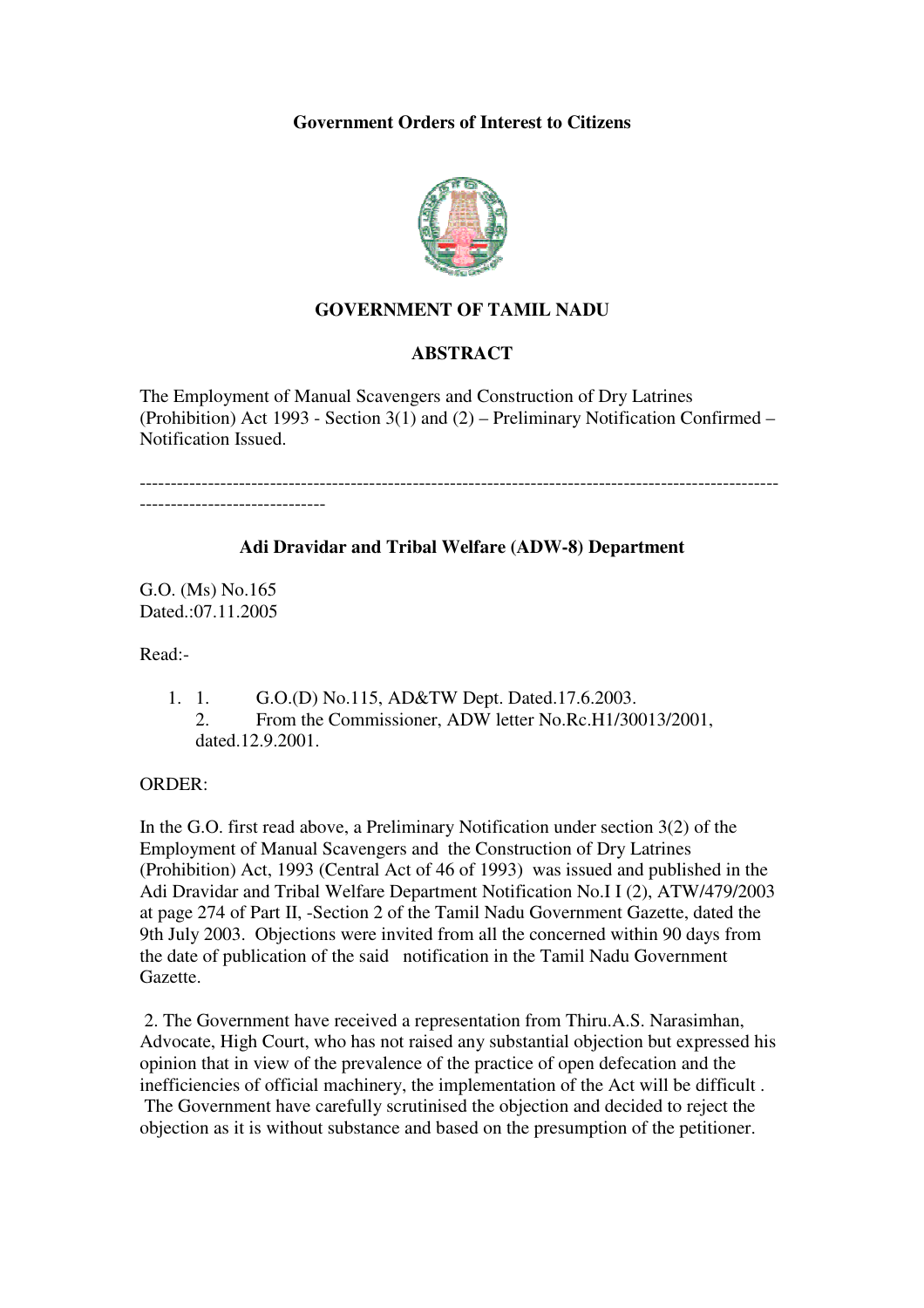### **Government Orders of Interest to Citizens**



# **GOVERNMENT OF TAMIL NADU**

### **ABSTRACT**

The Employment of Manual Scavengers and Construction of Dry Latrines (Prohibition) Act 1993 - Section  $3(1)$  and  $(2)$  – Preliminary Notification Confirmed – Notification Issued.

-------------------------------------------------------------------------------------------------------

### **Adi Dravidar and Tribal Welfare (ADW-8) Department**

G.O. (Ms) No.165 Dated .07.11.2005

Read:-

- 1. 1. G.O.(D) No.115, AD&TW Dept. Dated.17.6.2003.
	- 2. From the Commissioner, ADW letter No.Rc.H1/30013/2001, dated.12.9.2001.

#### ORDER:

In the G.O. first read above, a Preliminary Notification under section 3(2) of the Employment of Manual Scavengers and the Construction of Dry Latrines (Prohibition) Act, 1993 (Central Act of 46 of 1993) was issued and published in the Adi Dravidar and Tribal Welfare Department Notification No.I I (2), ATW/479/2003 at page 274 of Part II, -Section 2 of the Tamil Nadu Government Gazette, dated the 9th July 2003. Objections were invited from all the concerned within 90 days from the date of publication of the said notification in the Tamil Nadu Government Gazette.

 2. The Government have received a representation from Thiru.A.S. Narasimhan, Advocate, High Court, who has not raised any substantial objection but expressed his opinion that in view of the prevalence of the practice of open defecation and the inefficiencies of official machinery, the implementation of the Act will be difficult . The Government have carefully scrutinised the objection and decided to reject the objection as it is without substance and based on the presumption of the petitioner.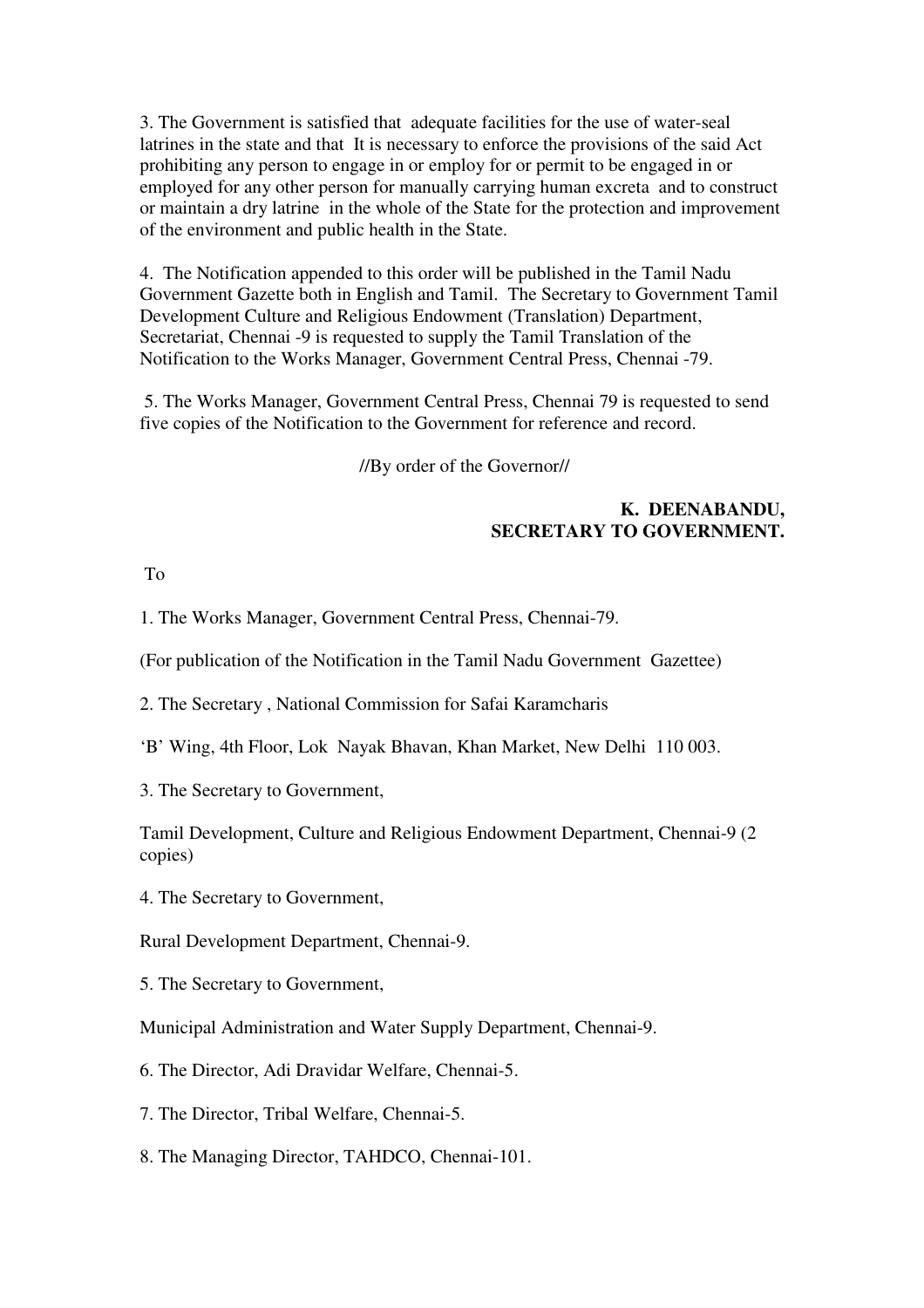3. The Government is satisfied that adequate facilities for the use of water-seal latrines in the state and that It is necessary to enforce the provisions of the said Act prohibiting any person to engage in or employ for or permit to be engaged in or employed for any other person for manually carrying human excreta and to construct or maintain a dry latrine in the whole of the State for the protection and improvement of the environment and public health in the State.

4. The Notification appended to this order will be published in the Tamil Nadu Government Gazette both in English and Tamil. The Secretary to Government Tamil Development Culture and Religious Endowment (Translation) Department, Secretariat, Chennai -9 is requested to supply the Tamil Translation of the Notification to the Works Manager, Government Central Press, Chennai -79.

 5. The Works Manager, Government Central Press, Chennai 79 is requested to send five copies of the Notification to the Government for reference and record.

//By order of the Governor//

## **K. DEENABANDU, SECRETARY TO GOVERNMENT.**

To

1. The Works Manager, Government Central Press, Chennai-79.

(For publication of the Notification in the Tamil Nadu Government Gazettee)

2. The Secretary , National Commission for Safai Karamcharis

'B' Wing, 4th Floor, Lok Nayak Bhavan, Khan Market, New Delhi 110 003.

3. The Secretary to Government,

Tamil Development, Culture and Religious Endowment Department, Chennai-9 (2 copies)

4. The Secretary to Government,

Rural Development Department, Chennai-9.

5. The Secretary to Government,

Municipal Administration and Water Supply Department, Chennai-9.

6. The Director, Adi Dravidar Welfare, Chennai-5.

7. The Director, Tribal Welfare, Chennai-5.

8. The Managing Director, TAHDCO, Chennai-101.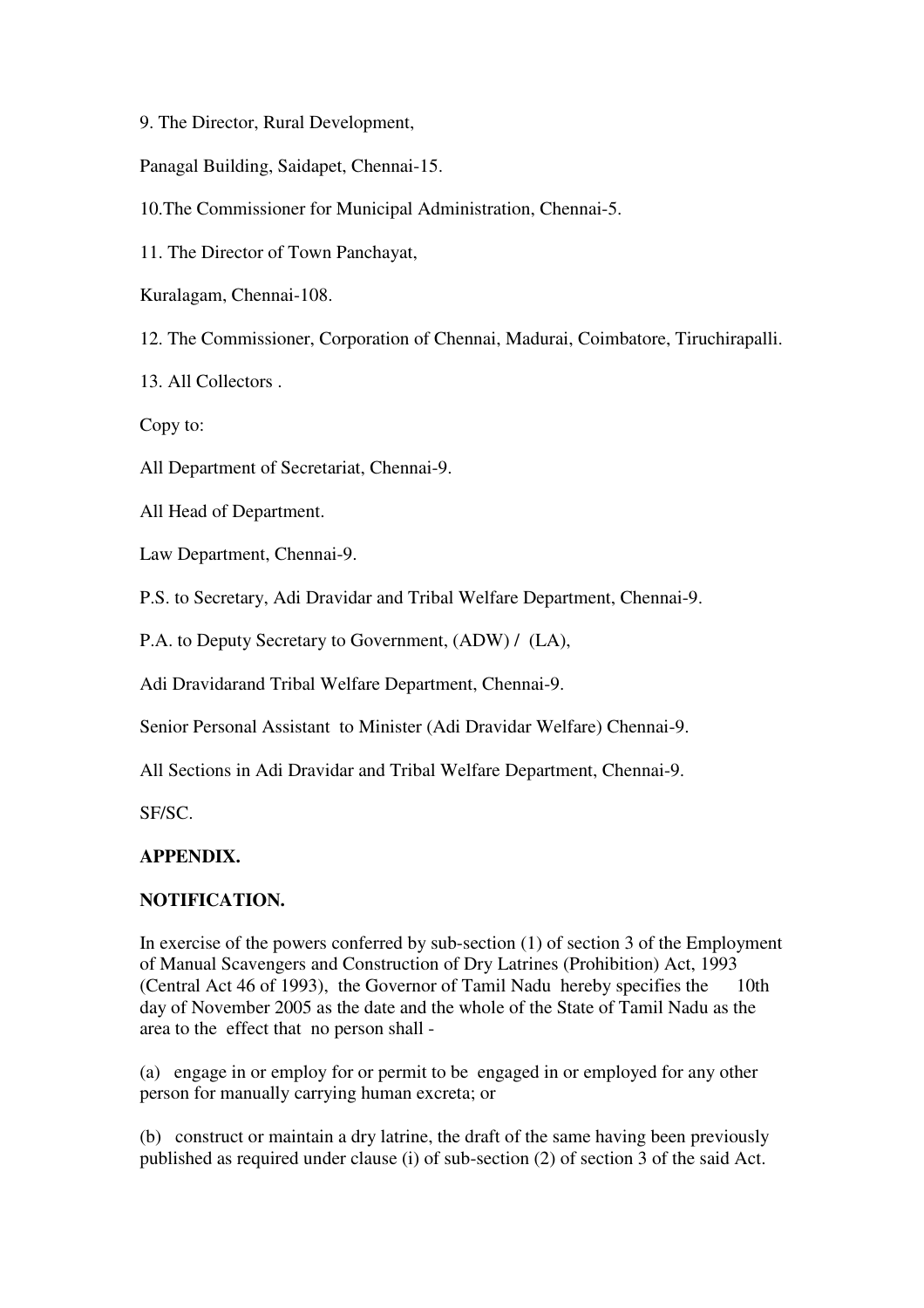9. The Director, Rural Development,

Panagal Building, Saidapet, Chennai-15.

10.The Commissioner for Municipal Administration, Chennai-5.

11. The Director of Town Panchayat,

Kuralagam, Chennai-108.

12. The Commissioner, Corporation of Chennai, Madurai, Coimbatore, Tiruchirapalli.

13. All Collectors .

Copy to:

All Department of Secretariat, Chennai-9.

All Head of Department.

Law Department, Chennai-9.

P.S. to Secretary, Adi Dravidar and Tribal Welfare Department, Chennai-9.

P.A. to Deputy Secretary to Government, (ADW) / (LA),

Adi Dravidarand Tribal Welfare Department, Chennai-9.

Senior Personal Assistant to Minister (Adi Dravidar Welfare) Chennai-9.

All Sections in Adi Dravidar and Tribal Welfare Department, Chennai-9.

SF/SC.

# **APPENDIX.**

# **NOTIFICATION.**

In exercise of the powers conferred by sub-section (1) of section 3 of the Employment of Manual Scavengers and Construction of Dry Latrines (Prohibition) Act, 1993 (Central Act 46 of 1993), the Governor of Tamil Nadu hereby specifies the 10th day of November 2005 as the date and the whole of the State of Tamil Nadu as the area to the effect that no person shall -

(a) engage in or employ for or permit to be engaged in or employed for any other person for manually carrying human excreta; or

(b) construct or maintain a dry latrine, the draft of the same having been previously published as required under clause (i) of sub-section (2) of section 3 of the said Act.